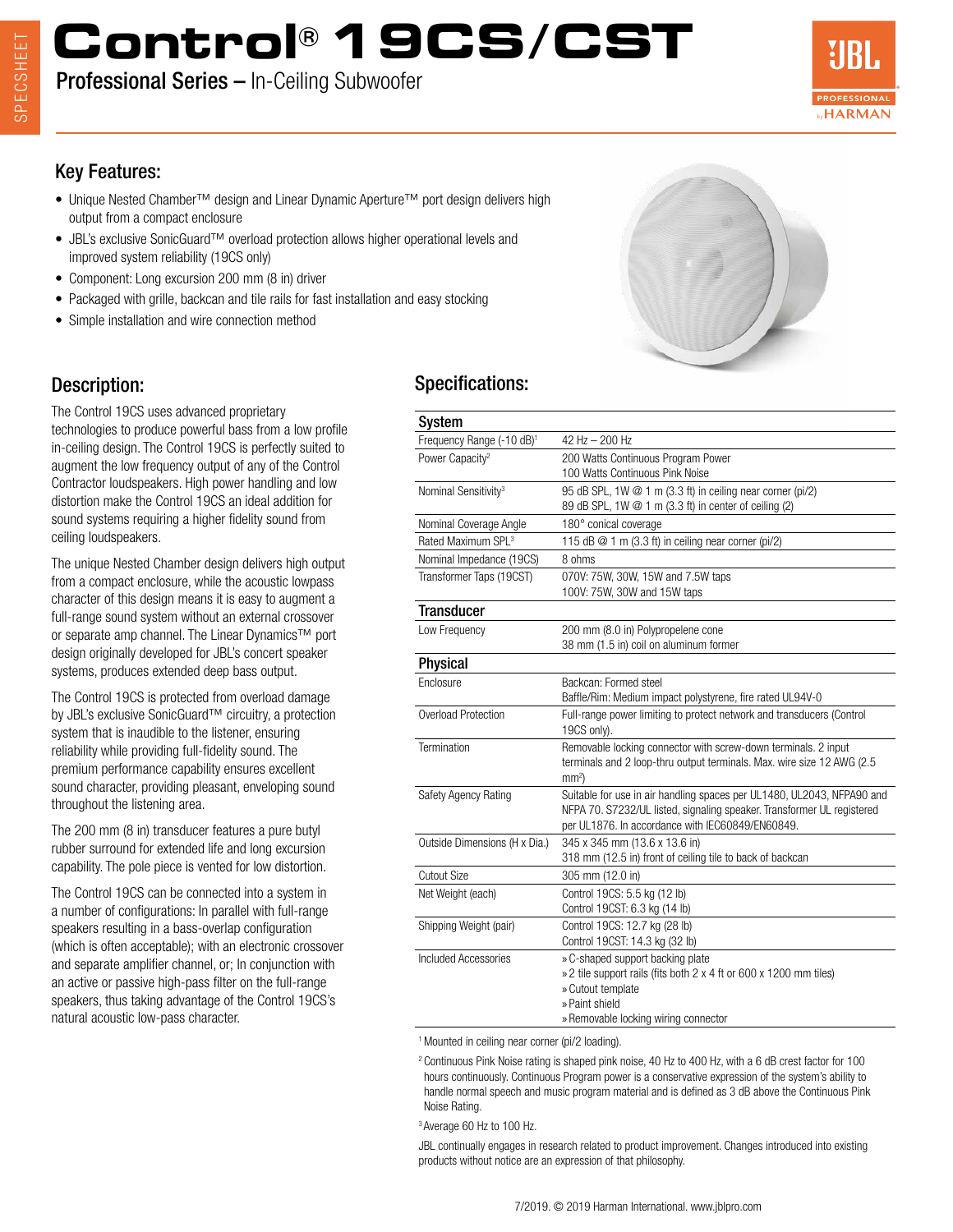# **Control® 19CS/CST**

Professional Series – In-Ceiling Subwoofer



## Key Features:

- Unique Nested Chamber<sup>™</sup> design and Linear Dynamic Aperture<sup>™</sup> port design delivers high output from a compact enclosure
- JBL's exclusive SonicGuard™ overload protection allows higher operational levels and improved system reliability (19CS only)
- Component: Long excursion 200 mm (8 in) driver
- Packaged with grille, backcan and tile rails for fast installation and easy stocking
- Simple installation and wire connection method

## Description:

The Control 19CS uses advanced proprietary technologies to produce powerful bass from a low profile in-ceiling design. The Control 19CS is perfectly suited to augment the low frequency output of any of the Control Contractor loudspeakers. High power handling and low distortion make the Control 19CS an ideal addition for sound systems requiring a higher fidelity sound from ceiling loudspeakers.

The unique Nested Chamber design delivers high output from a compact enclosure, while the acoustic lowpass character of this design means it is easy to augment a full-range sound system without an external crossover or separate amp channel. The Linear Dynamics™ port design originally developed for JBL's concert speaker systems, produces extended deep bass output.

The Control 19CS is protected from overload damage by JBL's exclusive SonicGuard™ circuitry, a protection system that is inaudible to the listener, ensuring reliability while providing full-fidelity sound. The premium performance capability ensures excellent sound character, providing pleasant, enveloping sound throughout the listening area.

The 200 mm (8 in) transducer features a pure butyl rubber surround for extended life and long excursion capability. The pole piece is vented for low distortion.

The Control 19CS can be connected into a system in a number of configurations: In parallel with full-range speakers resulting in a bass-overlap configuration (which is often acceptable); with an electronic crossover and separate amplifier channel, or; In conjunction with an active or passive high-pass filter on the full-range speakers, thus taking advantage of the Control 19CS's natural acoustic low-pass character.

## Specifications:

| <b>System</b>                         |                                                                                                                                                                                                      |
|---------------------------------------|------------------------------------------------------------------------------------------------------------------------------------------------------------------------------------------------------|
| Frequency Range (-10 dB) <sup>1</sup> | 42 Hz - 200 Hz                                                                                                                                                                                       |
| Power Capacity <sup>2</sup>           | 200 Watts Continuous Program Power<br>100 Watts Continuous Pink Noise                                                                                                                                |
| Nominal Sensitivity <sup>3</sup>      | 95 dB SPL, 1W @ 1 m (3.3 ft) in ceiling near corner (pi/2)<br>89 dB SPL, 1W @ 1 m (3.3 ft) in center of ceiling (2)                                                                                  |
| Nominal Coverage Angle                | 180° conical coverage                                                                                                                                                                                |
| Rated Maximum SPL <sup>3</sup>        | 115 dB $@$ 1 m (3.3 ft) in ceiling near corner (pi/2)                                                                                                                                                |
| Nominal Impedance (19CS)              | 8 ohms                                                                                                                                                                                               |
| Transformer Taps (19CST)              | 070V: 75W, 30W, 15W and 7.5W taps<br>100V: 75W, 30W and 15W taps                                                                                                                                     |
| <b>Transducer</b>                     |                                                                                                                                                                                                      |
| Low Frequency                         | 200 mm (8.0 in) Polypropelene cone<br>38 mm (1.5 in) coil on aluminum former                                                                                                                         |
| <b>Physical</b>                       |                                                                                                                                                                                                      |
| Enclosure                             | Backcan: Formed steel<br>Baffle/Rim: Medium impact polystyrene, fire rated UL94V-0                                                                                                                   |
| Overload Protection                   | Full-range power limiting to protect network and transducers (Control<br>19CS only).                                                                                                                 |
| Termination                           | Removable locking connector with screw-down terminals. 2 input<br>terminals and 2 loop-thru output terminals. Max. wire size 12 AWG (2.5)<br>mm <sup>2</sup>                                         |
| Safety Agency Rating                  | Suitable for use in air handling spaces per UL1480, UL2043, NFPA90 and<br>NFPA 70. S7232/UL listed, signaling speaker. Transformer UL registered<br>per UL1876. In accordance with IEC60849/EN60849. |
| Outside Dimensions (H x Dia.)         | 345 x 345 mm (13.6 x 13.6 in)<br>318 mm (12.5 in) front of ceiling tile to back of backcan                                                                                                           |
| <b>Cutout Size</b>                    | 305 mm (12.0 in)                                                                                                                                                                                     |
| Net Weight (each)                     | Control 19CS: 5.5 kg (12 lb)<br>Control 19CST: 6.3 kg (14 lb)                                                                                                                                        |
| Shipping Weight (pair)                | Control 19CS: 12.7 kg (28 lb)<br>Control 19CST: 14.3 kg (32 lb)                                                                                                                                      |
| Included Accessories                  | » C-shaped support backing plate<br>» 2 tile support rails (fits both 2 x 4 ft or 600 x 1200 mm tiles)<br>» Cutout template<br>» Paint shield<br>» Removable locking wiring connector                |
|                                       |                                                                                                                                                                                                      |

<sup>1</sup> Mounted in ceiling near corner (pi/2 loading).

<sup>2</sup> Continuous Pink Noise rating is shaped pink noise, 40 Hz to 400 Hz, with a 6 dB crest factor for 100 hours continuously. Continuous Program power is a conservative expression of the system's ability to handle normal speech and music program material and is defined as 3 dB above the Continuous Pink Noise Rating.

3 Average 60 Hz to 100 Hz.

JBL continually engages in research related to product improvement. Changes introduced into existing products without notice are an expression of that philosophy.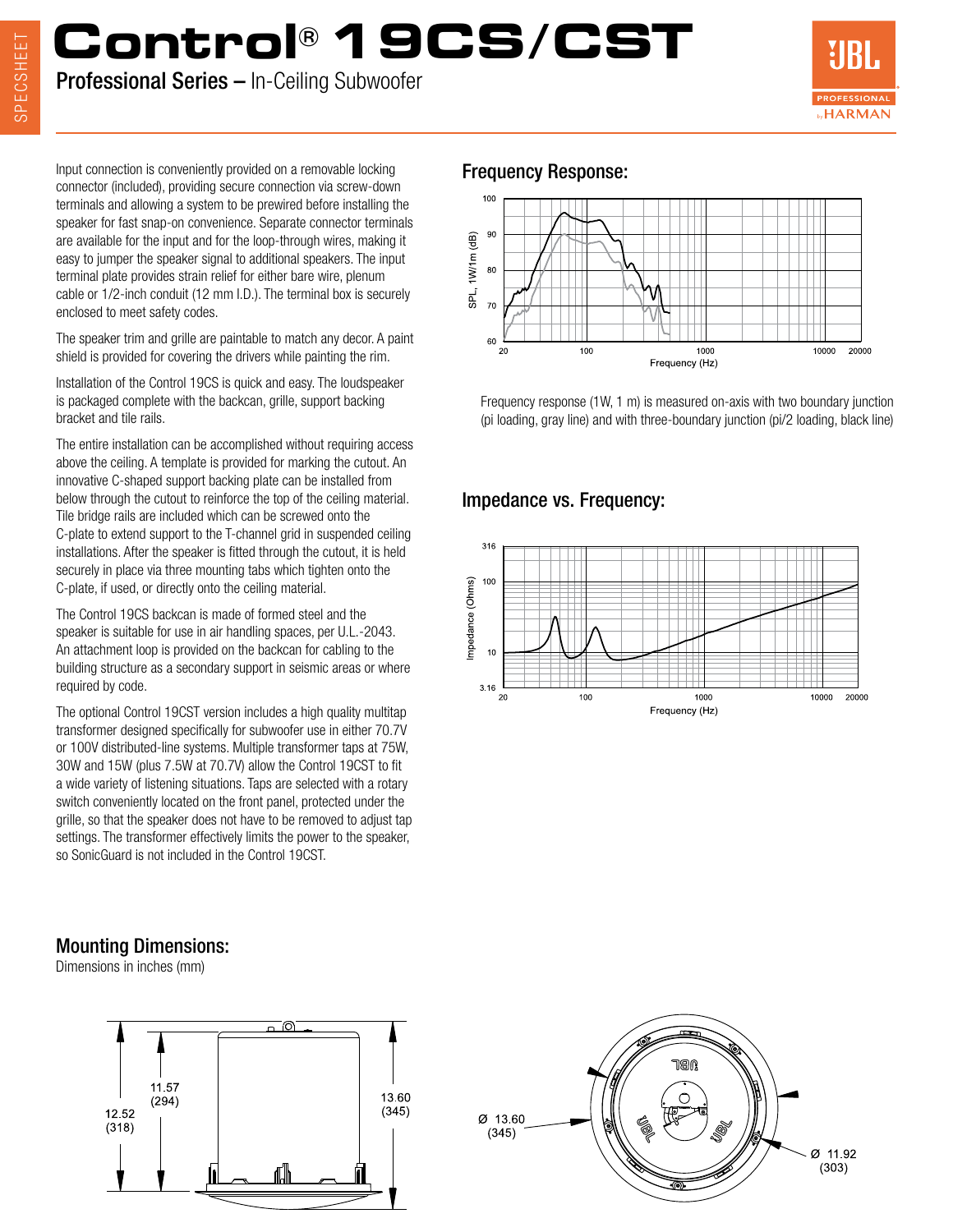## SPECSHEET SPECSHEET

## **Control® 19CS/CST**

Professional Series – In-Ceiling Subwoofer



Input connection is conveniently provided on a removable locking **Frequency Response:** connector (included), providing secure connection via screw-down terminals and allowing a system to be prewired before installing the speaker for fast snap-on convenience. Separate connector terminals are available for the input and for the loop-through wires, making it easy to jumper the speaker signal to additional speakers. The input terminal plate provides strain relief for either bare wire, plenum cable or 1/2-inch conduit (12 mm I.D.). The terminal box is securely enclosed to meet safety codes.

The speaker trim and grille are paintable to match any decor. A paint shield is provided for covering the drivers while painting the rim.

Installation of the Control 19CS is quick and easy. The loudspeaker is packaged complete with the backcan, grille, support backing bracket and tile rails.

The entire installation can be accomplished without requiring access above the ceiling. A template is provided for marking the cutout. An innovative C-shaped support backing plate can be installed from below through the cutout to reinforce the top of the ceiling material. Tile bridge rails are included which can be screwed onto the C-plate to extend support to the T-channel grid in suspended ceiling installations. After the speaker is fitted through the cutout, it is held securely in place via three mounting tabs which tighten onto the C-plate, if used, or directly onto the ceiling material.

The Control 19CS backcan is made of formed steel and the speaker is suitable for use in air handling spaces, per U.L.-2043. An attachment loop is provided on the backcan for cabling to the building structure as a secondary support in seismic areas or where required by code.

The optional Control 19CST version includes a high quality multitap transformer designed specifically for subwoofer use in either 70.7V or 100V distributed-line systems. Multiple transformer taps at 75W, 30W and 15W (plus 7.5W at 70.7V) allow the Control 19CST to fit a wide variety of listening situations. Taps are selected with a rotary switch conveniently located on the front panel, protected under the grille, so that the speaker does not have to be removed to adjust tap settings. The transformer effectively limits the power to the speaker, so SonicGuard is not included in the Control 19CST.



Frequency response (1W, 1 m) is measured on-axis with two boundary junction (pi loading, gray line) and with three-boundary junction (pi/2 loading, black line)

### Impedance vs. Frequency:



### Mounting Dimensions:

Dimensions in inches (mm)